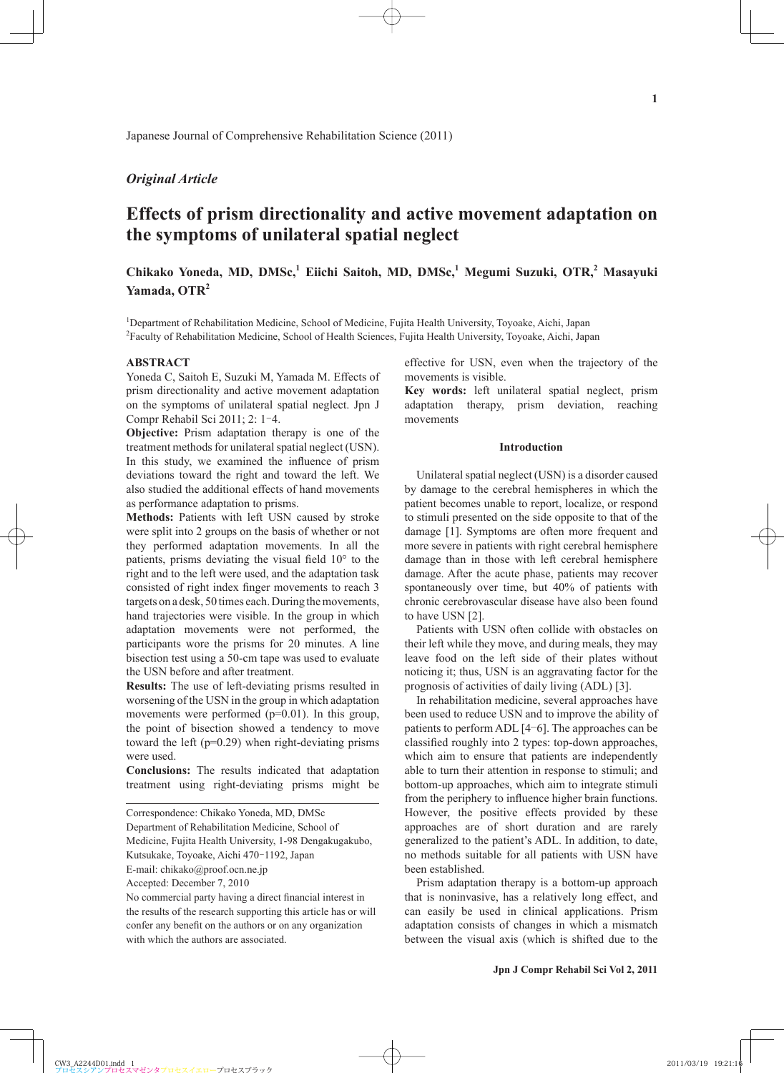## *Original Article*

# **Effects of prism directionality and active movement adaptation on the symptoms of unilateral spatial neglect**

## Chikako Yoneda, MD, DMSc,<sup>1</sup> Eiichi Saitoh, MD, DMSc,<sup>1</sup> Megumi Suzuki, OTR,<sup>2</sup> Masayuki **Yamada, OTR<sup>2</sup>**

<sup>1</sup>Department of Rehabilitation Medicine, School of Medicine, Fujita Health University, Toyoake, Aichi, Japan 2 Faculty of Rehabilitation Medicine, School of Health Sciences, Fujita Health University, Toyoake, Aichi, Japan

## **ABSTRACT**

Yoneda C, Saitoh E, Suzuki M, Yamada M. Effects of prism directionality and active movement adaptation on the symptoms of unilateral spatial neglect. Jpn J Compr Rehabil Sci 2011; 2: 1‒4.

**Objective:** Prism adaptation therapy is one of the treatment methods for unilateral spatial neglect (USN). In this study, we examined the influence of prism deviations toward the right and toward the left. We also studied the additional effects of hand movements as performance adaptation to prisms.

**Methods:** Patients with left USN caused by stroke were split into 2 groups on the basis of whether or not they performed adaptation movements. In all the patients, prisms deviating the visual field  $10^{\circ}$  to the right and to the left were used, and the adaptation task consisted of right index finger movements to reach 3 targets on a desk, 50 times each. During the movements, hand trajectories were visible. In the group in which adaptation movements were not performed, the participants wore the prisms for 20 minutes. A line bisection test using a 50-cm tape was used to evaluate the USN before and after treatment.

**Results:** The use of left-deviating prisms resulted in worsening of the USN in the group in which adaptation movements were performed (p=0.01). In this group, the point of bisection showed a tendency to move toward the left  $(p=0.29)$  when right-deviating prisms were used.

**Conclusions:** The results indicated that adaptation treatment using right-deviating prisms might be

Department of Rehabilitation Medicine, School of

Medicine, Fujita Health University, 1-98 Dengakugakubo,

Kutsukake, Toyoake, Aichi 470-1192, Japan

Accepted: December 7, 2010

No commercial party having a direct financial interest in the results of the research supporting this article has or will confer any benefit on the authors or on any organization with which the authors are associated.

effective for USN, even when the trajectory of the movements is visible.

**Key words:** left unilateral spatial neglect, prism adaptation therapy, prism deviation, reaching movements

#### **Introduction**

Unilateral spatial neglect (USN) is a disorder caused by damage to the cerebral hemispheres in which the patient becomes unable to report, localize, or respond to stimuli presented on the side opposite to that of the damage [1]. Symptoms are often more frequent and more severe in patients with right cerebral hemisphere damage than in those with left cerebral hemisphere damage. After the acute phase, patients may recover spontaneously over time, but 40% of patients with chronic cerebrovascular disease have also been found to have USN [2].

Patients with USN often collide with obstacles on their left while they move, and during meals, they may leave food on the left side of their plates without noticing it; thus, USN is an aggravating factor for the prognosis of activities of daily living (ADL) [3].

In rehabilitation medicine, several approaches have been used to reduce USN and to improve the ability of patients to perform ADL [4‒6]. The approaches can be classified roughly into 2 types: top-down approaches, which aim to ensure that patients are independently able to turn their attention in response to stimuli; and bottom-up approaches, which aim to integrate stimuli from the periphery to influence higher brain functions. However, the positive effects provided by these approaches are of short duration and are rarely generalized to the patient's ADL. In addition, to date, no methods suitable for all patients with USN have been established.

Prism adaptation therapy is a bottom-up approach that is noninvasive, has a relatively long effect, and can easily be used in clinical applications. Prism adaptation consists of changes in which a mismatch between the visual axis (which is shifted due to the

Correspondence: Chikako Yoneda, MD, DMSc

E-mail: chikako@proof.ocn.ne.jp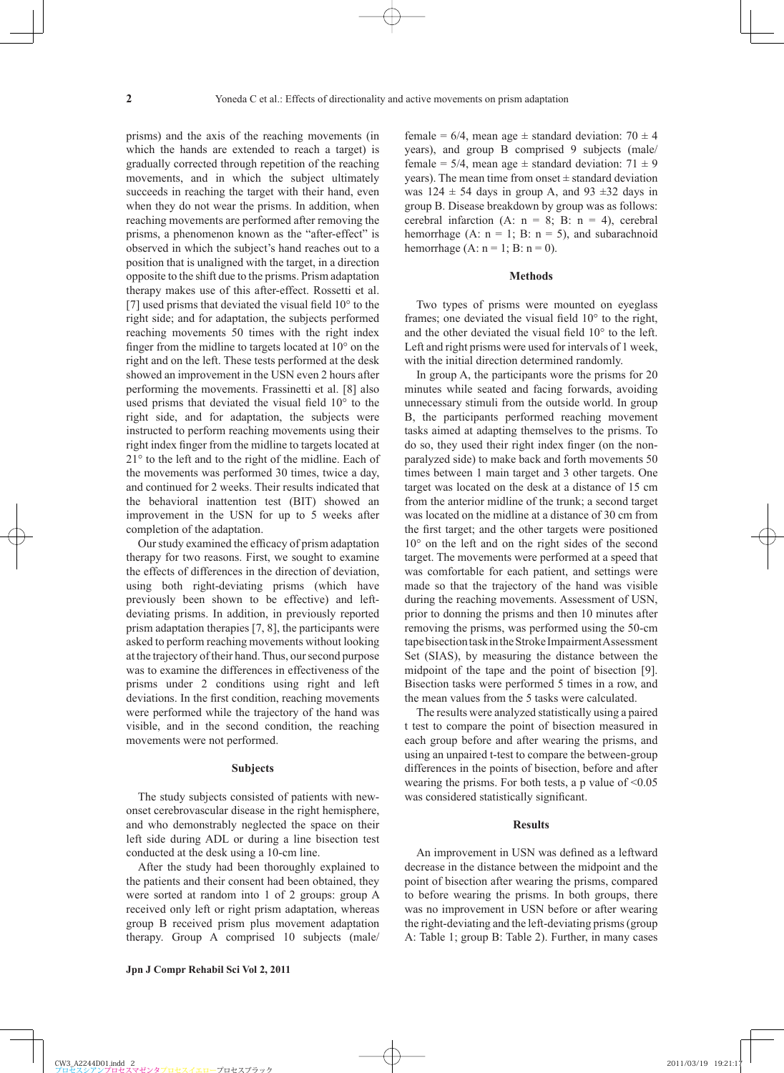prisms) and the axis of the reaching movements (in which the hands are extended to reach a target) is gradually corrected through repetition of the reaching movements, and in which the subject ultimately succeeds in reaching the target with their hand, even when they do not wear the prisms. In addition, when reaching movements are performed after removing the prisms, a phenomenon known as the "after-effect" is observed in which the subject's hand reaches out to a position that is unaligned with the target, in a direction opposite to the shift due to the prisms. Prism adaptation therapy makes use of this after-effect. Rossetti et al. [7] used prisms that deviated the visual field  $10^{\circ}$  to the right side; and for adaptation, the subjects performed reaching movements 50 times with the right index finger from the midline to targets located at  $10^{\circ}$  on the right and on the left. These tests performed at the desk showed an improvement in the USN even 2 hours after performing the movements. Frassinetti et al. [8] also used prisms that deviated the visual field  $10^{\circ}$  to the right side, and for adaptation, the subjects were instructed to perform reaching movements using their right index finger from the midline to targets located at 21° to the left and to the right of the midline. Each of the movements was performed 30 times, twice a day, and continued for 2 weeks. Their results indicated that the behavioral inattention test (BIT) showed an improvement in the USN for up to 5 weeks after completion of the adaptation.

Our study examined the efficacy of prism adaptation therapy for two reasons. First, we sought to examine the effects of differences in the direction of deviation, using both right-deviating prisms (which have previously been shown to be effective) and leftdeviating prisms. In addition, in previously reported prism adaptation therapies [7, 8], the participants were asked to perform reaching movements without looking at the trajectory of their hand. Thus, our second purpose was to examine the differences in effectiveness of the prisms under 2 conditions using right and left deviations. In the first condition, reaching movements were performed while the trajectory of the hand was visible, and in the second condition, the reaching movements were not performed.

#### **Subjects**

The study subjects consisted of patients with newonset cerebrovascular disease in the right hemisphere, and who demonstrably neglected the space on their left side during ADL or during a line bisection test conducted at the desk using a 10-cm line.

After the study had been thoroughly explained to the patients and their consent had been obtained, they were sorted at random into 1 of 2 groups: group A received only left or right prism adaptation, whereas group B received prism plus movement adaptation therapy. Group A comprised 10 subjects (male/ female =  $6/4$ , mean age  $\pm$  standard deviation:  $70 \pm 4$ years), and group B comprised 9 subjects (male/ female =  $5/4$ , mean age  $\pm$  standard deviation:  $71 \pm 9$ years). The mean time from onset  $\pm$  standard deviation was  $124 \pm 54$  days in group A, and  $93 \pm 32$  days in group B. Disease breakdown by group was as follows: cerebral infarction (A:  $n = 8$ ; B:  $n = 4$ ), cerebral hemorrhage (A:  $n = 1$ ; B:  $n = 5$ ), and subarachnoid hemorrhage  $(A: n = 1; B: n = 0)$ .

#### **Methods**

Two types of prisms were mounted on eyeglass frames; one deviated the visual field  $10^{\circ}$  to the right, and the other deviated the visual field  $10^{\circ}$  to the left. Left and right prisms were used for intervals of 1 week, with the initial direction determined randomly.

In group A, the participants wore the prisms for 20 minutes while seated and facing forwards, avoiding unnecessary stimuli from the outside world. In group B, the participants performed reaching movement tasks aimed at adapting themselves to the prisms. To do so, they used their right index finger (on the nonparalyzed side) to make back and forth movements 50 times between 1 main target and 3 other targets. One target was located on the desk at a distance of 15 cm from the anterior midline of the trunk; a second target was located on the midline at a distance of 30 cm from the first target; and the other targets were positioned 10° on the left and on the right sides of the second target. The movements were performed at a speed that was comfortable for each patient, and settings were made so that the trajectory of the hand was visible during the reaching movements. Assessment of USN, prior to donning the prisms and then 10 minutes after removing the prisms, was performed using the 50-cm tape bisection task in the Stroke Impairment Assessment Set (SIAS), by measuring the distance between the midpoint of the tape and the point of bisection [9]. Bisection tasks were performed 5 times in a row, and the mean values from the 5 tasks were calculated.

The results were analyzed statistically using a paired t test to compare the point of bisection measured in each group before and after wearing the prisms, and using an unpaired t-test to compare the between-group differences in the points of bisection, before and after wearing the prisms. For both tests, a p value of  $\leq 0.05$ was considered statistically significant.

#### **Results**

An improvement in USN was defined as a leftward decrease in the distance between the midpoint and the point of bisection after wearing the prisms, compared to before wearing the prisms. In both groups, there was no improvement in USN before or after wearing the right-deviating and the left-deviating prisms (group A: Table 1; group B: Table 2). Further, in many cases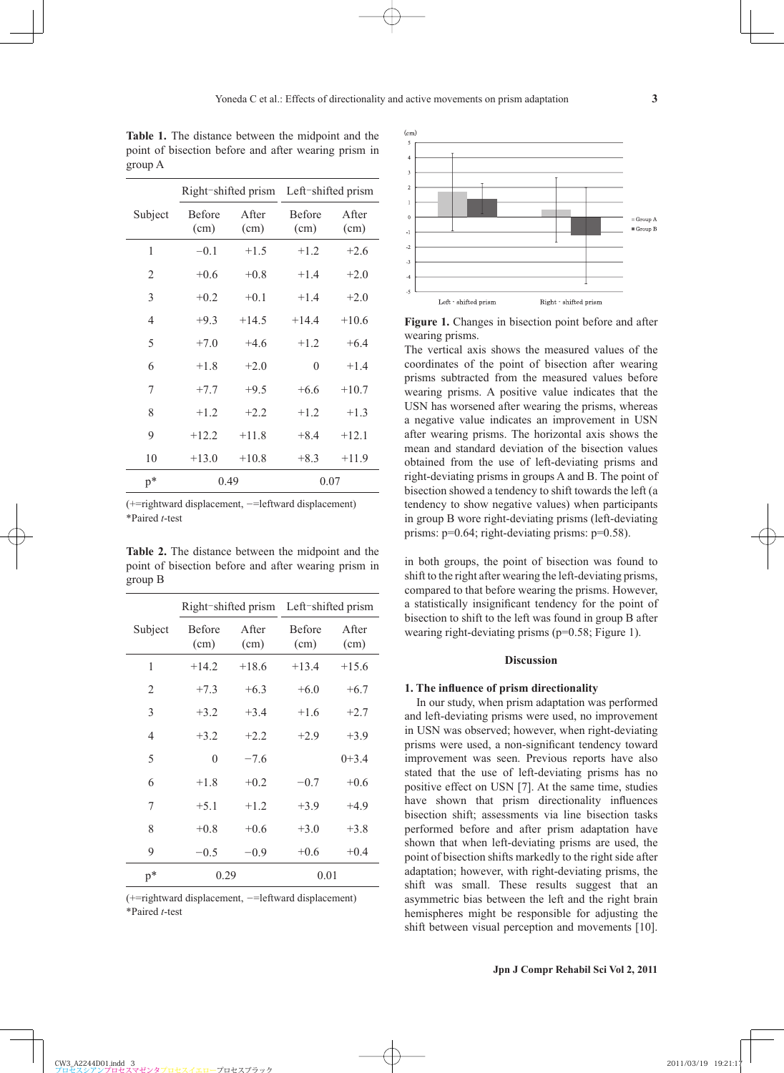|                | Right-shifted prism   |               | Left-shifted prism    |               |
|----------------|-----------------------|---------------|-----------------------|---------------|
| Subject        | <b>Before</b><br>(cm) | After<br>(cm) | <b>Before</b><br>(cm) | After<br>(cm) |
| 1              | $-0.1$                | $+1.5$        | $+1.2$                | $+2.6$        |
| 2              | $+0.6$                | $+0.8$        | $+1.4$                | $+2.0$        |
| 3              | $+0.2$                | $+0.1$        | $+1.4$                | $+2.0$        |
| $\overline{4}$ | $+9.3$                | $+14.5$       | $+14.4$               | $+10.6$       |
| 5              | $+7.0$                | $+4.6$        | $+1.2$                | $+6.4$        |
| 6              | $+1.8$                | $+2.0$        | $\theta$              | $+1.4$        |
| 7              | $+7.7$                | $+9.5$        | $+6.6$                | $+10.7$       |
| 8              | $+1.2$                | $+2.2$        | $+1.2$                | $+1.3$        |
| 9              | $+12.2$               | $+11.8$       | $+8.4$                | $+12.1$       |
| 10             | $+13.0$               | $+10.8$       | $+8.3$                | $+11.9$       |
| $p^*$          | 0.49                  |               | 0.07                  |               |

**Table 1.** The distance between the midpoint and the point of bisection before and after wearing prism in group A

 $(+=rightward$  displacement,  $==leftward$  displacement) \*Paired *t*-test

**Table 2.** The distance between the midpoint and the point of bisection before and after wearing prism in group B

|         | Right-shifted prism Left-shifted prism |                       |                |               |
|---------|----------------------------------------|-----------------------|----------------|---------------|
| Subject | <b>Before</b><br>(cm)                  | <b>A</b> fter<br>(cm) | Before<br>(cm) | After<br>(cm) |
| 1       | $+14.2$                                | $+18.6$               | $+13.4$        | $+15.6$       |
| 2       | $+7.3$                                 | $+6.3$                | $+6.0$         | $+6.7$        |
| 3       | $+3.2$                                 | $+3.4$                | $+1.6$         | $+2.7$        |
| 4       | $+3.2$                                 | $+2.2$                | $+2.9$         | $+3.9$        |
| 5       | 0                                      | $-7.6$                |                | $0+3.4$       |
| 6       | $+1.8$                                 | $+0.2$                | $-0.7$         | $+0.6$        |
| 7       | $+5.1$                                 | $+1.2$                | $+3.9$         | $+4.9$        |
| 8       | $+0.8$                                 | $+0.6$                | $+3.0$         | $+3.8$        |
| 9       | $-0.5$                                 | $-0.9$                | $+0.6$         | $+0.4$        |
| $p^*$   | 0.29                                   |                       | 0.01           |               |

 $($ +=rightward displacement, -=leftward displacement) \*Paired *t*-test



**Figure 1.** Changes in bisection point before and after wearing prisms.

The vertical axis shows the measured values of the coordinates of the point of bisection after wearing prisms subtracted from the measured values before wearing prisms. A positive value indicates that the USN has worsened after wearing the prisms, whereas a negative value indicates an improvement in USN after wearing prisms. The horizontal axis shows the mean and standard deviation of the bisection values obtained from the use of left-deviating prisms and right-deviating prisms in groups A and B. The point of bisection showed a tendency to shift towards the left (a tendency to show negative values) when participants in group B wore right-deviating prisms (left-deviating prisms: p=0.64; right-deviating prisms: p=0.58).

in both groups, the point of bisection was found to shift to the right after wearing the left-deviating prisms, compared to that before wearing the prisms. However, a statistically insignificant tendency for the point of bisection to shift to the left was found in group B after wearing right-deviating prisms (p=0.58; Figure 1).

## **Discussion**

## 1. The influence of prism directionality

In our study, when prism adaptation was performed and left-deviating prisms were used, no improvement in USN was observed; however, when right-deviating prisms were used, a non-significant tendency toward improvement was seen. Previous reports have also stated that the use of left-deviating prisms has no positive effect on USN [7]. At the same time, studies have shown that prism directionality influences bisection shift; assessments via line bisection tasks performed before and after prism adaptation have shown that when left-deviating prisms are used, the point of bisection shifts markedly to the right side after adaptation; however, with right-deviating prisms, the shift was small. These results suggest that an asymmetric bias between the left and the right brain hemispheres might be responsible for adjusting the shift between visual perception and movements [10].